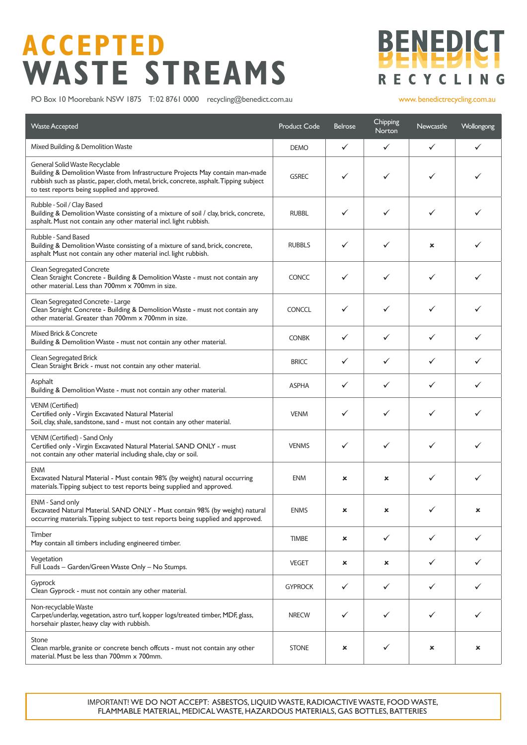### **ACCEPTED WASTE STREAMS**



PO Box 10 Moorebank NSW 1875 T: 02 8761 0000 recycling@benedict.com.au www.benedictrecycling.com.au

| <b>Waste Accepted</b>                                                                                                                                                                                                                                      | <b>Product Code</b> | <b>Belrose</b> | Chipping<br>Norton | <b>Newcastle</b> | Wollongong   |
|------------------------------------------------------------------------------------------------------------------------------------------------------------------------------------------------------------------------------------------------------------|---------------------|----------------|--------------------|------------------|--------------|
| Mixed Building & Demolition Waste                                                                                                                                                                                                                          | <b>DEMO</b>         | $\checkmark$   | $\checkmark$       | $\checkmark$     | $\checkmark$ |
| General Solid Waste Recyclable<br>Building & Demolition Waste from Infrastructure Projects May contain man-made<br>rubbish such as plastic, paper, cloth, metal, brick, concrete, asphalt. Tipping subject<br>to test reports being supplied and approved. | <b>GSREC</b>        | ✓              | ✓                  | $\checkmark$     | ✓            |
| Rubble - Soil / Clay Based<br>Building & Demolition Waste consisting of a mixture of soil / clay, brick, concrete,<br>asphalt. Must not contain any other material incl. light rubbish.                                                                    | <b>RUBBL</b>        | ✓              | ✓                  | ✓                | ✓            |
| Rubble - Sand Based<br>Building & Demolition Waste consisting of a mixture of sand, brick, concrete,<br>asphalt Must not contain any other material incl. light rubbish.                                                                                   | <b>RUBBLS</b>       | ✓              | ✓                  | ×                | ✓            |
| Clean Segregated Concrete<br>Clean Straight Concrete - Building & Demolition Waste - must not contain any<br>other material. Less than 700mm x 700mm in size.                                                                                              | <b>CONCC</b>        | ✓              | ✓                  | ✓                | ✓            |
| Clean Segregated Concrete - Large<br>Clean Straight Concrete - Building & Demolition Waste - must not contain any<br>other material. Greater than 700mm x 700mm in size.                                                                                   | <b>CONCCL</b>       | ✓              | ✓                  | ✓                | ✓            |
| Mixed Brick & Concrete<br>Building & Demolition Waste - must not contain any other material.                                                                                                                                                               | <b>CONBK</b>        | ✓              | ✓                  | ✓                | ✓            |
| Clean Segregated Brick<br>Clean Straight Brick - must not contain any other material.                                                                                                                                                                      | <b>BRICC</b>        | $\checkmark$   | ✓                  | ✓                | ✓            |
| Asphalt<br>Building & Demolition Waste - must not contain any other material.                                                                                                                                                                              | <b>ASPHA</b>        | ✓              | ✓                  | ✓                | ✓            |
| <b>VENM</b> (Certified)<br>Certified only - Virgin Excavated Natural Material<br>Soil, clay, shale, sandstone, sand - must not contain any other material.                                                                                                 | <b>VENM</b>         | ✓              | ✓                  | ✓                | ✓            |
| VENM (Certified) - Sand Only<br>Certified only - Virgin Excavated Natural Material. SAND ONLY - must<br>not contain any other material including shale, clay or soil.                                                                                      | <b>VENMS</b>        | ✓              | ✓                  | ✓                | ✓            |
| <b>ENM</b><br>Excavated Natural Material - Must contain 98% (by weight) natural occurring<br>materials. Tipping subject to test reports being supplied and approved.                                                                                       | <b>ENM</b>          | ×              | ×                  | ✓                | ✓            |
| ENM - Sand only<br>Excavated Natural Material. SAND ONLY - Must contain 98% (by weight) natural<br>occurring materials. Tipping subject to test reports being supplied and approved.                                                                       | <b>ENMS</b>         | ×              | ×                  |                  |              |
| Timber<br>May contain all timbers including engineered timber.                                                                                                                                                                                             | <b>TIMBE</b>        | ×              | ✓                  | ✓                | ✓            |
| Vegetation<br>Full Loads - Garden/Green Waste Only - No Stumps.                                                                                                                                                                                            | <b>VEGET</b>        | ×              | ×                  | ✓                | ✓            |
| Gyprock<br>Clean Gyprock - must not contain any other material.                                                                                                                                                                                            | <b>GYPROCK</b>      | ✓              | ✓                  | $\checkmark$     | $\checkmark$ |
| Non-recyclable Waste<br>Carpet/underlay, vegetation, astro turf, kopper logs/treated timber, MDF, glass,<br>horsehair plaster, heavy clay with rubbish.                                                                                                    | <b>NRECW</b>        | ✓              | ✓                  | ✓                |              |
| Stone<br>Clean marble, granite or concrete bench offcuts - must not contain any other<br>material. Must be less than 700mm x 700mm.                                                                                                                        | <b>STONE</b>        | ×              | ✓                  | ×                | ×            |

IMPORTANT! WE DO NOT ACCEPT: ASBESTOS, LIQUID WASTE, RADIOACTIVE WASTE, FOOD WASTE, FLAMMABLE MATERIAL, MEDICAL WASTE, HAZARDOUS MATERIALS, GAS BOTTLES, BATTERIES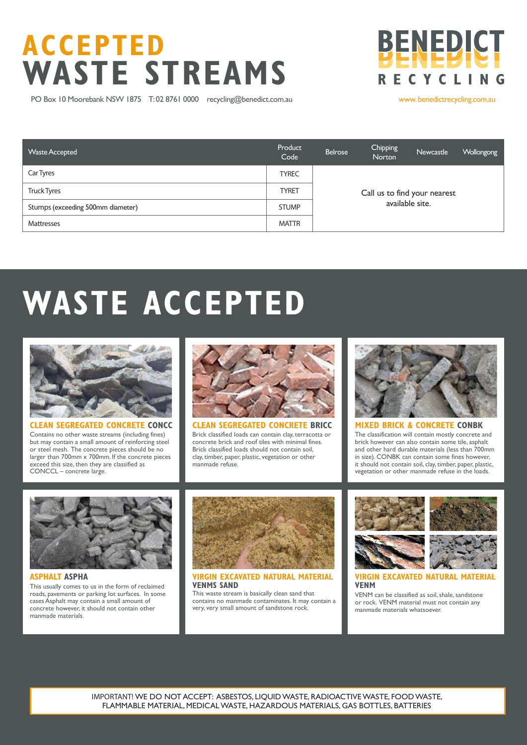### **ACCEPTED WASTE STREAMS**

PO Box 10 Moorebank NSW 1875 T: 02 8761 0000 recycling@benedict.com.au www.benedictrecycling.com.au

**BENEDICT** 

**RECYCLE** 

| <b>Waste Accepted</b>             | Product<br>Code | Belrose                      | Chipping<br>Norton | Newcastle | <b>Wollongong</b> |  |
|-----------------------------------|-----------------|------------------------------|--------------------|-----------|-------------------|--|
| Car Tyres                         | <b>TYREC</b>    |                              |                    |           |                   |  |
| <b>Truck Tyres</b>                | <b>TYRET</b>    | Call us to find your nearest |                    |           |                   |  |
| Stumps (exceeding 500mm diameter) | <b>STUMP</b>    | available site.              |                    |           |                   |  |
| <b>Mattresses</b>                 | <b>MATTR</b>    |                              |                    |           |                   |  |

# **WASTE ACCEPTED**



**CLEAN SEGREGATED CONCRETE CONCC** Contains no other waste streams (including fines) but may contain a small amount of reinforcing steel or steel mesh. The concrete pieces should be no larger than 700mm x 700mm. If the concrete pieces exceed this size, then they are classified as CONCCL – concrete large.



Brick classified loads can contain clay, terracotta or concrete brick and roof tiles with minimal fines. Brick classified loads should not contain soil, clay, timber, paper, plastic, vegetation or other manmade refuse.



### **MIXED BRICK & CONCRETE CONBK**

The classification will contain mostly concrete and brick however can also contain some tile, asphalt and other hard durable materials (less than 700mm in size). CONBK can contain some fines however, it should not contain soil, clay, timber, paper, plastic, vegetation or other manmade refuse in the loads.



**ASPHALT ASPHA** This usually comes to us in the form of reclaimed roads, pavements or parking lot surfaces. In some cases Asphalt may contain a small amount of concrete however, it should not contain other manmade materials.



#### **VIRGIN EXCAVATED NATURAL MATERIAL VENMS SAND**

This waste stream is basically clean sand that contains no manmade contaminates. It may contain a very, very small amount of sandstone rock.



**VIRGIN EXCAVATED NATURAL MATERIA VENM**

VENM can be classified as soil, shale, sandstone or rock. VENM material must not contain any manmade materials whatsoever.